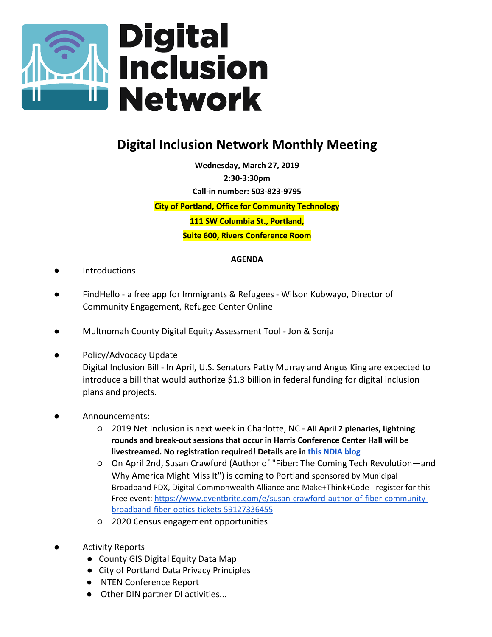

## **Digital Inclusion Network Monthly Meeting**

**Wednesday, March 27, 2019 2:30-3:30pm Call-in number: 503-823-9795**

**City of Portland, Office for Community Technology**

**111 SW Columbia St., Portland,**

**Suite 600, Rivers Conference Room**

## **AGENDA**

- **Introductions**
- FindHello a free app for Immigrants & Refugees Wilson Kubwayo, Director of Community Engagement, Refugee Center Online
- Multnomah County Digital Equity Assessment Tool Jon & Sonja
- Policy/Advocacy Update Digital Inclusion Bill - In April, U.S. Senators Patty Murray and Angus King are expected to introduce a bill that would authorize \$1.3 billion in federal funding for digital inclusion plans and projects.
- Announcements:
	- 2019 Net Inclusion is next week in Charlotte, NC **All April 2 plenaries, lightning rounds and break-out sessions that occur in Harris Conference Center Hall will be livestreamed. No registration required! Details are in [this NDIA blog](https://www.digitalinclusion.org/blog/2019/03/08/livestream-at-net-inclusion-2019/)**
	- On April 2nd, Susan Crawford (Author of "Fiber: The Coming Tech Revolution―and Why America Might Miss It") is coming to Portland sponsored by Municipal Broadband PDX, Digital Commonwealth Alliance and Make+Think+Code - register for this Free event: [https://www.eventbrite.com/e/susan-crawford-author-of-fiber-community](https://www.eventbrite.com/e/susan-crawford-author-of-fiber-community-broadband-fiber-optics-tickets-59127336455)[broadband-fiber-optics-tickets-59127336455](https://www.eventbrite.com/e/susan-crawford-author-of-fiber-community-broadband-fiber-optics-tickets-59127336455)
	- 2020 Census engagement opportunities
- **Activity Reports** 
	- County GIS Digital Equity Data Map
	- City of Portland Data Privacy Principles
	- NTEN Conference Report
	- Other DIN partner DI activities...